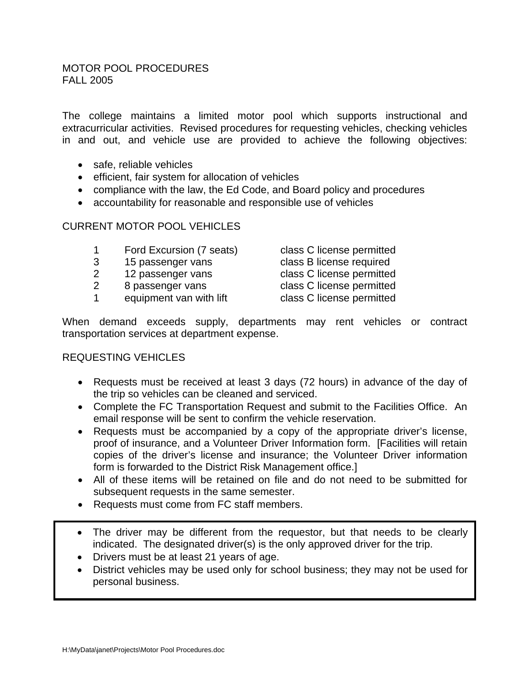The college maintains a limited motor pool which supports instructional and extracurricular activities. Revised procedures for requesting vehicles, checking vehicles in and out, and vehicle use are provided to achieve the following objectives:

- safe, reliable vehicles
- efficient, fair system for allocation of vehicles
- compliance with the law, the Ed Code, and Board policy and procedures
- accountability for reasonable and responsible use of vehicles

#### CURRENT MOTOR POOL VEHICLES

- 1 Ford Excursion (7 seats) class C license permitted
- 3 15 passenger vans class B license required
- 2 12 passenger vans class C license permitted
- 2 8 passenger vans class C license permitted
- 1 equipment van with lift class C license permitted

- 
- 
- 

When demand exceeds supply, departments may rent vehicles or contract transportation services at department expense.

#### REQUESTING VEHICLES

- Requests must be received at least 3 days (72 hours) in advance of the day of the trip so vehicles can be cleaned and serviced.
- Complete the FC Transportation Request and submit to the Facilities Office. An email response will be sent to confirm the vehicle reservation.
- Requests must be accompanied by a copy of the appropriate driver's license, proof of insurance, and a Volunteer Driver Information form. [Facilities will retain copies of the driver's license and insurance; the Volunteer Driver information form is forwarded to the District Risk Management office.]
- All of these items will be retained on file and do not need to be submitted for subsequent requests in the same semester.
- Requests must come from FC staff members.
- The driver may be different from the requestor, but that needs to be clearly indicated. The designated driver(s) is the only approved driver for the trip.
- Drivers must be at least 21 years of age.
- District vehicles may be used only for school business; they may not be used for personal business.